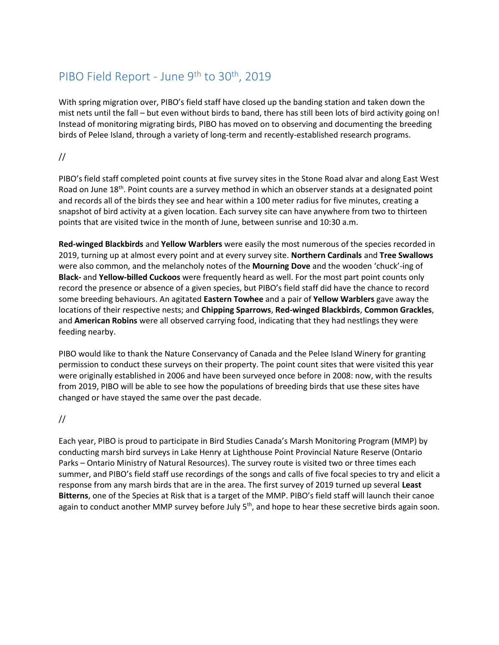# PIBO Field Report - June 9<sup>th</sup> to 30<sup>th</sup>, 2019

With spring migration over, PIBO's field staff have closed up the banding station and taken down the mist nets until the fall – but even without birds to band, there has still been lots of bird activity going on! Instead of monitoring migrating birds, PIBO has moved on to observing and documenting the breeding birds of Pelee Island, through a variety of long-term and recently-established research programs.

#### //

PIBO's field staff completed point counts at five survey sites in the Stone Road alvar and along East West Road on June 18<sup>th</sup>. Point counts are a survey method in which an observer stands at a designated point and records all of the birds they see and hear within a 100 meter radius for five minutes, creating a snapshot of bird activity at a given location. Each survey site can have anywhere from two to thirteen points that are visited twice in the month of June, between sunrise and 10:30 a.m.

**Red-winged Blackbirds** and **Yellow Warblers** were easily the most numerous of the species recorded in 2019, turning up at almost every point and at every survey site. **Northern Cardinals** and **Tree Swallows** were also common, and the melancholy notes of the **Mourning Dove** and the wooden 'chuck'-ing of **Black-** and **Yellow-billed Cuckoos** were frequently heard as well. For the most part point counts only record the presence or absence of a given species, but PIBO's field staff did have the chance to record some breeding behaviours. An agitated **Eastern Towhee** and a pair of **Yellow Warblers** gave away the locations of their respective nests; and **Chipping Sparrows**, **Red-winged Blackbirds**, **Common Grackles**, and **American Robins** were all observed carrying food, indicating that they had nestlings they were feeding nearby.

PIBO would like to thank the Nature Conservancy of Canada and the Pelee Island Winery for granting permission to conduct these surveys on their property. The point count sites that were visited this year were originally established in 2006 and have been surveyed once before in 2008: now, with the results from 2019, PIBO will be able to see how the populations of breeding birds that use these sites have changed or have stayed the same over the past decade.

#### //

Each year, PIBO is proud to participate in Bird Studies Canada's Marsh Monitoring Program (MMP) by conducting marsh bird surveys in Lake Henry at Lighthouse Point Provincial Nature Reserve (Ontario Parks – Ontario Ministry of Natural Resources). The survey route is visited two or three times each summer, and PIBO's field staff use recordings of the songs and calls of five focal species to try and elicit a response from any marsh birds that are in the area. The first survey of 2019 turned up several **Least Bitterns**, one of the Species at Risk that is a target of the MMP. PIBO's field staff will launch their canoe again to conduct another MMP survey before July 5<sup>th</sup>, and hope to hear these secretive birds again soon.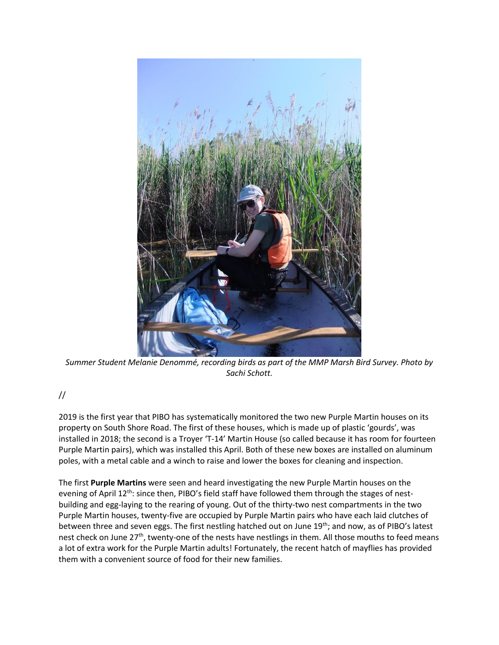

*Summer Student Melanie Denommé, recording birds as part of the MMP Marsh Bird Survey. Photo by Sachi Schott.*

## //

2019 is the first year that PIBO has systematically monitored the two new Purple Martin houses on its property on South Shore Road. The first of these houses, which is made up of plastic 'gourds', was installed in 2018; the second is a Troyer 'T-14' Martin House (so called because it has room for fourteen Purple Martin pairs), which was installed this April. Both of these new boxes are installed on aluminum poles, with a metal cable and a winch to raise and lower the boxes for cleaning and inspection.

The first **Purple Martins** were seen and heard investigating the new Purple Martin houses on the evening of April 12<sup>th</sup>: since then, PIBO's field staff have followed them through the stages of nestbuilding and egg-laying to the rearing of young. Out of the thirty-two nest compartments in the two Purple Martin houses, twenty-five are occupied by Purple Martin pairs who have each laid clutches of between three and seven eggs. The first nestling hatched out on June 19<sup>th</sup>; and now, as of PIBO's latest nest check on June 27<sup>th</sup>, twenty-one of the nests have nestlings in them. All those mouths to feed means a lot of extra work for the Purple Martin adults! Fortunately, the recent hatch of mayflies has provided them with a convenient source of food for their new families.